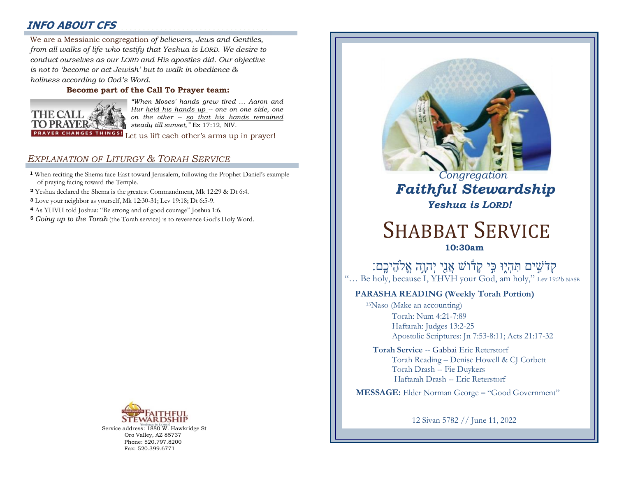# **INFO ABOUT CFS**

2000000000000000000000000000000000000000000000000000000 We are a Messianic congregation *of believers, Jews and Gentiles,*  : *from all walks of life who testify that Yeshua is LORD. We desire to conduct ourselves as our LORD and His apostles did. Our objective is not to 'become or act Jewish' but to walk in obedience & holiness according to God's Word.* 

### **Become part of the Call To Prayer team:**



*"When Moses' hands grew tired … Aaron and Hur held his hands up -- one on one side, one on the other -- so that his hands remained steady till sunset,"* Ex 17:12, NIV.

Let us lift each other's arms up in prayer!

### *EXPLANATION OF LITURGY & TORAH SERVICE*

- **<sup>1</sup>** When reciting the Shema face East toward Jerusalem, following the Prophet Daniel's example of praying facing toward the Temple.
- **<sup>2</sup>** Yeshua declared the Shema is the greatest Commandment, Mk 12:29 & Dt 6:4.
- **<sup>3</sup>** Love your neighbor as yourself, Mk 12:30-31; Lev 19:18; Dt 6:5-9.
- **<sup>4</sup>** As YHVH told Joshua: "Be strong and of good courage" Joshua 1:6.
- **<sup>5</sup>** *Going up to the Torah* (the Torah service) is to reverence God's Holy Word.



Service address: 1880 W. Hawkridge St Oro Valley, AZ 85737 Phone: 520.797.8200 Fax: 520.399.6771



12 Sivan 5782 // June 11, 2022